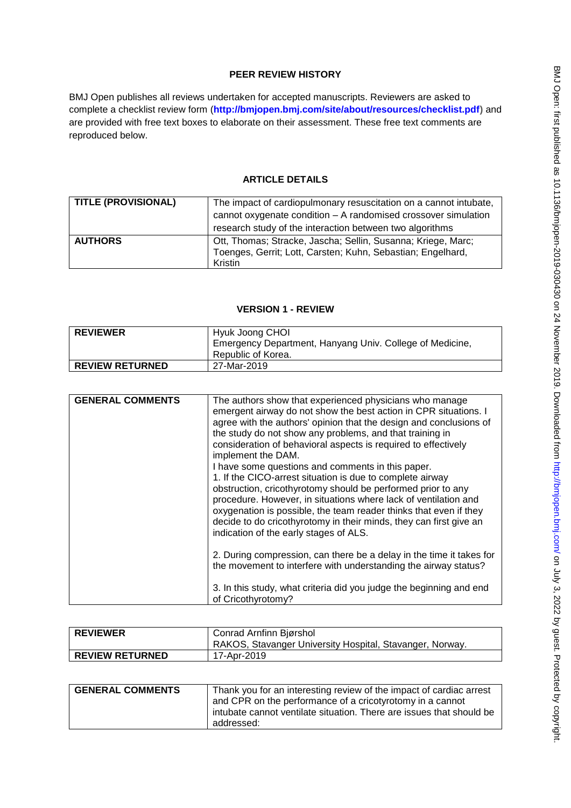# **PEER REVIEW HISTORY**

BMJ Open publishes all reviews undertaken for accepted manuscripts. Reviewers are asked to complete a checklist review form (**[http://bmjopen.bmj.com/site/about/resources/checklist.pdf\)](http://bmjopen.bmj.com/site/about/resources/checklist.pdf)** and are provided with free text boxes to elaborate on their assessment. These free text comments are reproduced below.

## **ARTICLE DETAILS**

| <b>TITLE (PROVISIONAL)</b> | The impact of cardiopulmonary resuscitation on a cannot intubate,<br>cannot oxygenate condition - A randomised crossover simulation<br>research study of the interaction between two algorithms |
|----------------------------|-------------------------------------------------------------------------------------------------------------------------------------------------------------------------------------------------|
| <b>AUTHORS</b>             | Ott, Thomas; Stracke, Jascha; Sellin, Susanna; Kriege, Marc;<br>Toenges, Gerrit; Lott, Carsten; Kuhn, Sebastian; Engelhard,<br>Kristin                                                          |

## **VERSION 1 - REVIEW**

| <b>REVIEWER</b>        | Hyuk Joong CHOI                                                                |
|------------------------|--------------------------------------------------------------------------------|
|                        | Emergency Department, Hanyang Univ. College of Medicine,<br>Republic of Korea. |
| <b>REVIEW RETURNED</b> | 27-Mar-2019                                                                    |

| <b>GENERAL COMMENTS</b> | The authors show that experienced physicians who manage<br>emergent airway do not show the best action in CPR situations. I<br>agree with the authors' opinion that the design and conclusions of<br>the study do not show any problems, and that training in<br>consideration of behavioral aspects is required to effectively<br>implement the DAM.<br>I have some questions and comments in this paper.<br>1. If the CICO-arrest situation is due to complete airway<br>obstruction, cricothyrotomy should be performed prior to any<br>procedure. However, in situations where lack of ventilation and<br>oxygenation is possible, the team reader thinks that even if they<br>decide to do cricothyrotomy in their minds, they can first give an<br>indication of the early stages of ALS. |
|-------------------------|-------------------------------------------------------------------------------------------------------------------------------------------------------------------------------------------------------------------------------------------------------------------------------------------------------------------------------------------------------------------------------------------------------------------------------------------------------------------------------------------------------------------------------------------------------------------------------------------------------------------------------------------------------------------------------------------------------------------------------------------------------------------------------------------------|
|                         | 2. During compression, can there be a delay in the time it takes for<br>the movement to interfere with understanding the airway status?                                                                                                                                                                                                                                                                                                                                                                                                                                                                                                                                                                                                                                                         |
|                         | 3. In this study, what criteria did you judge the beginning and end<br>of Cricothyrotomy?                                                                                                                                                                                                                                                                                                                                                                                                                                                                                                                                                                                                                                                                                                       |

| <b>REVIEWER</b>        | Conrad Arnfinn Bjørshol                                  |
|------------------------|----------------------------------------------------------|
|                        | RAKOS, Stavanger University Hospital, Stavanger, Norway. |
| <b>REVIEW RETURNED</b> | 17-Apr-2019                                              |
|                        |                                                          |

| <b>GENERAL COMMENTS</b> | Thank you for an interesting review of the impact of cardiac arrest<br>and CPR on the performance of a cricotyrotomy in a cannot |
|-------------------------|----------------------------------------------------------------------------------------------------------------------------------|
|                         |                                                                                                                                  |
|                         | intubate cannot ventilate situation. There are issues that should be                                                             |
|                         | addressed:                                                                                                                       |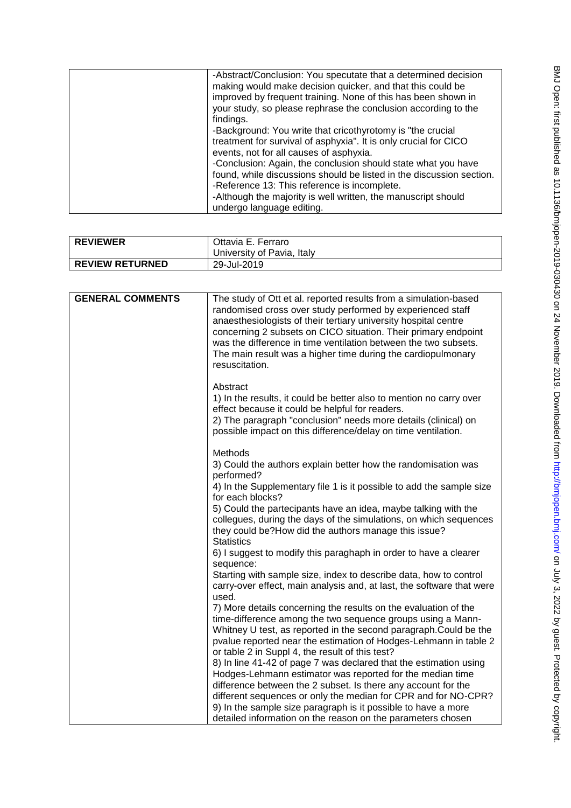| -Abstract/Conclusion: You specutate that a determined decision<br>making would make decision quicker, and that this could be<br>improved by frequent training. None of this has been shown in<br>your study, so please rephrase the conclusion according to the |
|-----------------------------------------------------------------------------------------------------------------------------------------------------------------------------------------------------------------------------------------------------------------|
| findings.<br>-Background: You write that cricothyrotomy is "the crucial<br>treatment for survival of asphyxia". It is only crucial for CICO<br>events, not for all causes of asphyxia.<br>-Conclusion: Again, the conclusion should state what you have         |
| found, while discussions should be listed in the discussion section.<br>-Reference 13: This reference is incomplete.<br>-Although the majority is well written, the manuscript should<br>undergo language editing.                                              |

| <b>REVIEWER</b>        | Ottavia E. Ferraro<br>University of Pavia, Italy |
|------------------------|--------------------------------------------------|
| <b>REVIEW RETURNED</b> | 29-Jul-2019                                      |

| <b>GENERAL COMMENTS</b> | The study of Ott et al. reported results from a simulation-based                                                                                                                                                                                                                                                                                     |
|-------------------------|------------------------------------------------------------------------------------------------------------------------------------------------------------------------------------------------------------------------------------------------------------------------------------------------------------------------------------------------------|
|                         | randomised cross over study performed by experienced staff<br>anaesthesiologists of their tertiary university hospital centre<br>concerning 2 subsets on CICO situation. Their primary endpoint<br>was the difference in time ventilation between the two subsets.<br>The main result was a higher time during the cardiopulmonary<br>resuscitation. |
|                         | Abstract<br>1) In the results, it could be better also to mention no carry over<br>effect because it could be helpful for readers.<br>2) The paragraph "conclusion" needs more details (clinical) on<br>possible impact on this difference/delay on time ventilation.                                                                                |
|                         | Methods<br>3) Could the authors explain better how the randomisation was<br>performed?                                                                                                                                                                                                                                                               |
|                         | 4) In the Supplementary file 1 is it possible to add the sample size<br>for each blocks?                                                                                                                                                                                                                                                             |
|                         | 5) Could the partecipants have an idea, maybe talking with the<br>collegues, during the days of the simulations, on which sequences<br>they could be?How did the authors manage this issue?<br><b>Statistics</b>                                                                                                                                     |
|                         | 6) I suggest to modify this paraghaph in order to have a clearer<br>sequence:                                                                                                                                                                                                                                                                        |
|                         | Starting with sample size, index to describe data, how to control<br>carry-over effect, main analysis and, at last, the software that were<br>used.                                                                                                                                                                                                  |
|                         | 7) More details concerning the results on the evaluation of the<br>time-difference among the two sequence groups using a Mann-<br>Whitney U test, as reported in the second paragraph. Could be the<br>pvalue reported near the estimation of Hodges-Lehmann in table 2<br>or table 2 in Suppl 4, the result of this test?                           |
|                         | 8) In line 41-42 of page 7 was declared that the estimation using<br>Hodges-Lehmann estimator was reported for the median time<br>difference between the 2 subset. Is there any account for the                                                                                                                                                      |
|                         | different sequences or only the median for CPR and for NO-CPR?<br>9) In the sample size paragraph is it possible to have a more<br>detailed information on the reason on the parameters chosen                                                                                                                                                       |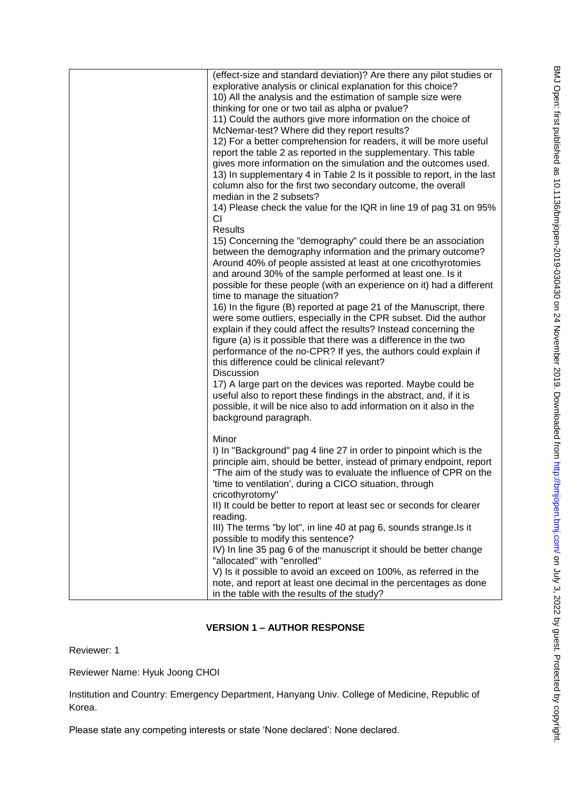| (effect-size and standard deviation)? Are there any pilot studies or    |
|-------------------------------------------------------------------------|
| explorative analysis or clinical explanation for this choice?           |
| 10) All the analysis and the estimation of sample size were             |
| thinking for one or two tail as alpha or pvalue?                        |
| 11) Could the authors give more information on the choice of            |
| McNemar-test? Where did they report results?                            |
| 12) For a better comprehension for readers, it will be more useful      |
| report the table 2 as reported in the supplementary. This table         |
| gives more information on the simulation and the outcomes used.         |
| 13) In supplementary 4 in Table 2 Is it possible to report, in the last |
| column also for the first two secondary outcome, the overall            |
| median in the 2 subsets?                                                |
| 14) Please check the value for the IQR in line 19 of pag 31 on 95%      |
| СI                                                                      |
| Results                                                                 |
| 15) Concerning the "demography" could there be an association           |
| between the demography information and the primary outcome?             |
| Around 40% of people assisted at least at one cricothyrotomies          |
| and around 30% of the sample performed at least one. Is it              |
| possible for these people (with an experience on it) had a different    |
| time to manage the situation?                                           |
| 16) In the figure (B) reported at page 21 of the Manuscript, there      |
| were some outliers, especially in the CPR subset. Did the author        |
| explain if they could affect the results? Instead concerning the        |
| figure (a) is it possible that there was a difference in the two        |
| performance of the no-CPR? If yes, the authors could explain if         |
| this difference could be clinical relevant?                             |
| <b>Discussion</b>                                                       |
| 17) A large part on the devices was reported. Maybe could be            |
| useful also to report these findings in the abstract, and, if it is     |
| possible, it will be nice also to add information on it also in the     |
| background paragraph.                                                   |
|                                                                         |
| Minor                                                                   |
| I) In "Background" pag 4 line 27 in order to pinpoint which is the      |
| principle aim, should be better, instead of primary endpoint, report    |
| "The aim of the study was to evaluate the influence of CPR on the       |
| 'time to ventilation', during a CICO situation, through                 |
| cricothyrotomy"                                                         |
| II) It could be better to report at least sec or seconds for clearer    |
| reading.                                                                |
| III) The terms "by lot", in line 40 at pag 6, sounds strange. Is it     |
| possible to modify this sentence?                                       |
| IV) In line 35 pag 6 of the manuscript it should be better change       |
| "allocated" with "enrolled"                                             |
| V) Is it possible to avoid an exceed on 100%, as referred in the        |
| note, and report at least one decimal in the percentages as done        |
| in the table with the results of the study?                             |

# **VERSION 1 – AUTHOR RESPONSE**

Reviewer: 1

Reviewer Name: Hyuk Joong CHOI

Institution and Country: Emergency Department, Hanyang Univ. College of Medicine, Republic of Korea.

Please state any competing interests or state 'None declared': None declared.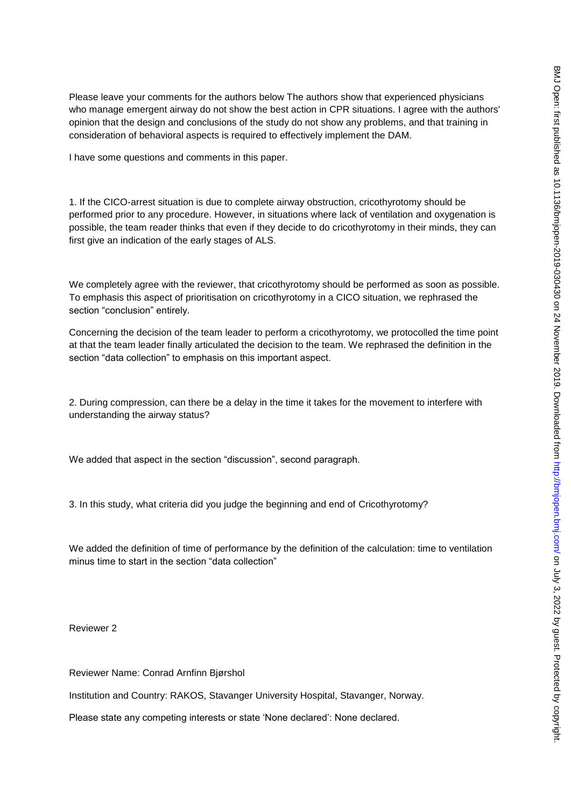Please leave your comments for the authors below The authors show that experienced physicians who manage emergent airway do not show the best action in CPR situations. I agree with the authors' opinion that the design and conclusions of the study do not show any problems, and that training in consideration of behavioral aspects is required to effectively implement the DAM.

I have some questions and comments in this paper.

1. If the CICO-arrest situation is due to complete airway obstruction, cricothyrotomy should be performed prior to any procedure. However, in situations where lack of ventilation and oxygenation is possible, the team reader thinks that even if they decide to do cricothyrotomy in their minds, they can first give an indication of the early stages of ALS.

We completely agree with the reviewer, that cricothyrotomy should be performed as soon as possible. To emphasis this aspect of prioritisation on cricothyrotomy in a CICO situation, we rephrased the section "conclusion" entirely.

Concerning the decision of the team leader to perform a cricothyrotomy, we protocolled the time point at that the team leader finally articulated the decision to the team. We rephrased the definition in the section "data collection" to emphasis on this important aspect.

2. During compression, can there be a delay in the time it takes for the movement to interfere with understanding the airway status?

We added that aspect in the section "discussion", second paragraph.

3. In this study, what criteria did you judge the beginning and end of Cricothyrotomy?

We added the definition of time of performance by the definition of the calculation: time to ventilation minus time to start in the section "data collection"

Reviewer 2

Reviewer Name: Conrad Arnfinn Bjørshol

Institution and Country: RAKOS, Stavanger University Hospital, Stavanger, Norway.

Please state any competing interests or state 'None declared': None declared.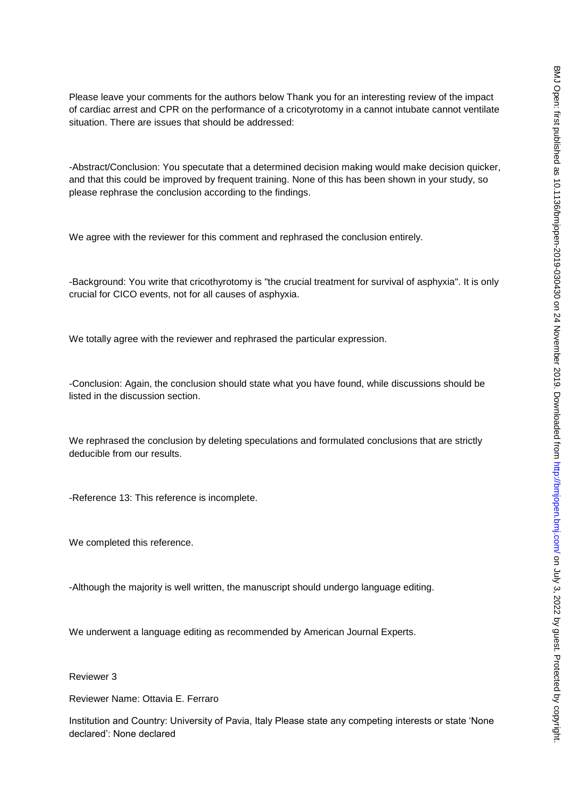Please leave your comments for the authors below Thank you for an interesting review of the impact of cardiac arrest and CPR on the performance of a cricotyrotomy in a cannot intubate cannot ventilate situation. There are issues that should be addressed:

-Abstract/Conclusion: You specutate that a determined decision making would make decision quicker, and that this could be improved by frequent training. None of this has been shown in your study, so please rephrase the conclusion according to the findings.

We agree with the reviewer for this comment and rephrased the conclusion entirely.

-Background: You write that cricothyrotomy is "the crucial treatment for survival of asphyxia". It is only crucial for CICO events, not for all causes of asphyxia.

We totally agree with the reviewer and rephrased the particular expression.

-Conclusion: Again, the conclusion should state what you have found, while discussions should be listed in the discussion section.

We rephrased the conclusion by deleting speculations and formulated conclusions that are strictly deducible from our results.

-Reference 13: This reference is incomplete.

We completed this reference.

-Although the majority is well written, the manuscript should undergo language editing.

We underwent a language editing as recommended by American Journal Experts.

Reviewer 3

Reviewer Name: Ottavia E. Ferraro

Institution and Country: University of Pavia, Italy Please state any competing interests or state 'None declared': None declared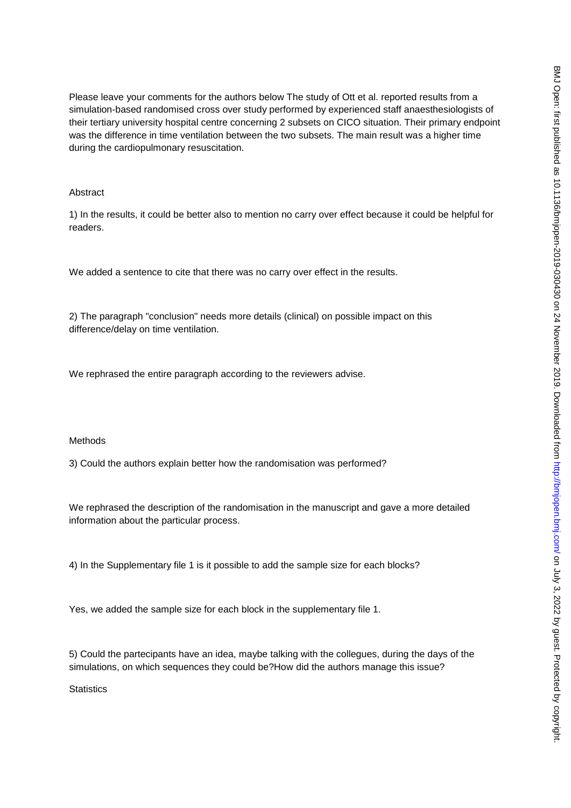Please leave your comments for the authors below The study of Ott et al. reported results from a simulation-based randomised cross over study performed by experienced staff anaesthesiologists of their tertiary university hospital centre concerning 2 subsets on CICO situation. Their primary endpoint was the difference in time ventilation between the two subsets. The main result was a higher time during the cardiopulmonary resuscitation.

### Abstract

1) In the results, it could be better also to mention no carry over effect because it could be helpful for readers.

We added a sentence to cite that there was no carry over effect in the results.

2) The paragraph "conclusion" needs more details (clinical) on possible impact on this difference/delay on time ventilation.

We rephrased the entire paragraph according to the reviewers advise.

### Methods

3) Could the authors explain better how the randomisation was performed?

We rephrased the description of the randomisation in the manuscript and gave a more detailed information about the particular process.

4) In the Supplementary file 1 is it possible to add the sample size for each blocks?

Yes, we added the sample size for each block in the supplementary file 1.

5) Could the partecipants have an idea, maybe talking with the collegues, during the days of the simulations, on which sequences they could be?How did the authors manage this issue?

**Statistics**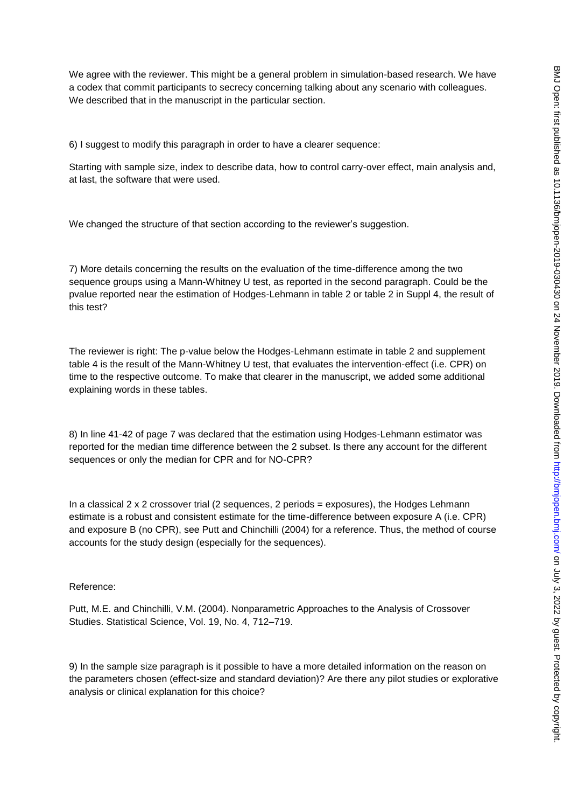We agree with the reviewer. This might be a general problem in simulation-based research. We have a codex that commit participants to secrecy concerning talking about any scenario with colleagues. We described that in the manuscript in the particular section.

6) I suggest to modify this paragraph in order to have a clearer sequence:

Starting with sample size, index to describe data, how to control carry-over effect, main analysis and, at last, the software that were used.

We changed the structure of that section according to the reviewer's suggestion.

7) More details concerning the results on the evaluation of the time-difference among the two sequence groups using a Mann-Whitney U test, as reported in the second paragraph. Could be the pvalue reported near the estimation of Hodges-Lehmann in table 2 or table 2 in Suppl 4, the result of this test?

The reviewer is right: The p-value below the Hodges-Lehmann estimate in table 2 and supplement table 4 is the result of the Mann-Whitney U test, that evaluates the intervention-effect (i.e. CPR) on time to the respective outcome. To make that clearer in the manuscript, we added some additional explaining words in these tables.

8) In line 41-42 of page 7 was declared that the estimation using Hodges-Lehmann estimator was reported for the median time difference between the 2 subset. Is there any account for the different sequences or only the median for CPR and for NO-CPR?

In a classical  $2 \times 2$  crossover trial (2 sequences, 2 periods = exposures), the Hodges Lehmann estimate is a robust and consistent estimate for the time-difference between exposure A (i.e. CPR) and exposure B (no CPR), see Putt and Chinchilli (2004) for a reference. Thus, the method of course accounts for the study design (especially for the sequences).

### Reference:

Putt, M.E. and Chinchilli, V.M. (2004). Nonparametric Approaches to the Analysis of Crossover Studies. Statistical Science, Vol. 19, No. 4, 712–719.

9) In the sample size paragraph is it possible to have a more detailed information on the reason on the parameters chosen (effect-size and standard deviation)? Are there any pilot studies or explorative analysis or clinical explanation for this choice?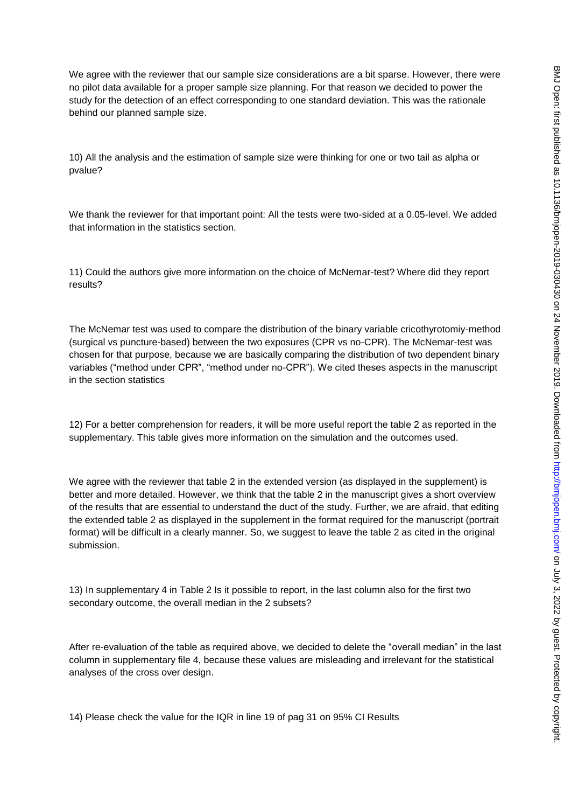We agree with the reviewer that our sample size considerations are a bit sparse. However, there were no pilot data available for a proper sample size planning. For that reason we decided to power the study for the detection of an effect corresponding to one standard deviation. This was the rationale behind our planned sample size.

10) All the analysis and the estimation of sample size were thinking for one or two tail as alpha or pvalue?

We thank the reviewer for that important point: All the tests were two-sided at a 0.05-level. We added that information in the statistics section.

11) Could the authors give more information on the choice of McNemar-test? Where did they report results?

The McNemar test was used to compare the distribution of the binary variable cricothyrotomiy-method (surgical vs puncture-based) between the two exposures (CPR vs no-CPR). The McNemar-test was chosen for that purpose, because we are basically comparing the distribution of two dependent binary variables ("method under CPR", "method under no-CPR"). We cited theses aspects in the manuscript in the section statistics

12) For a better comprehension for readers, it will be more useful report the table 2 as reported in the supplementary. This table gives more information on the simulation and the outcomes used.

We agree with the reviewer that table 2 in the extended version (as displayed in the supplement) is better and more detailed. However, we think that the table 2 in the manuscript gives a short overview of the results that are essential to understand the duct of the study. Further, we are afraid, that editing the extended table 2 as displayed in the supplement in the format required for the manuscript (portrait format) will be difficult in a clearly manner. So, we suggest to leave the table 2 as cited in the original submission.

13) In supplementary 4 in Table 2 Is it possible to report, in the last column also for the first two secondary outcome, the overall median in the 2 subsets?

After re-evaluation of the table as required above, we decided to delete the "overall median" in the last column in supplementary file 4, because these values are misleading and irrelevant for the statistical analyses of the cross over design.

14) Please check the value for the IQR in line 19 of pag 31 on 95% CI Results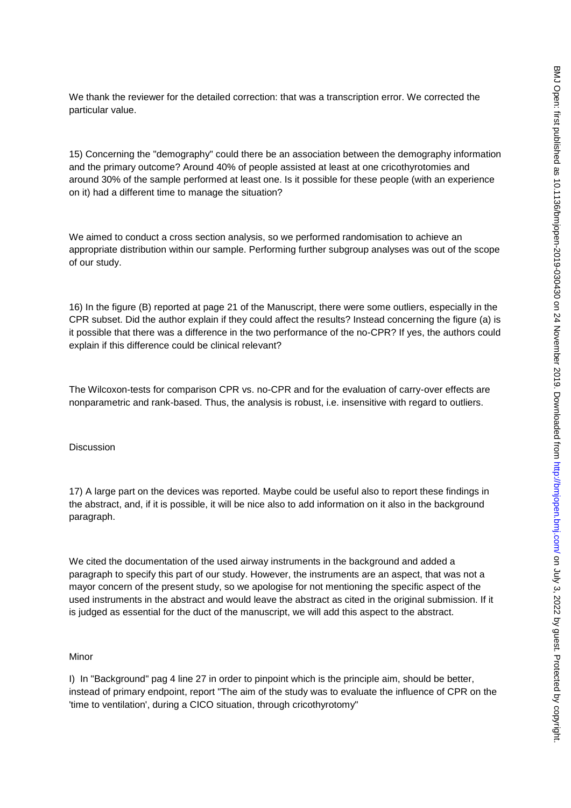We thank the reviewer for the detailed correction: that was a transcription error. We corrected the particular value.

15) Concerning the "demography" could there be an association between the demography information and the primary outcome? Around 40% of people assisted at least at one cricothyrotomies and around 30% of the sample performed at least one. Is it possible for these people (with an experience on it) had a different time to manage the situation?

We aimed to conduct a cross section analysis, so we performed randomisation to achieve an appropriate distribution within our sample. Performing further subgroup analyses was out of the scope of our study.

16) In the figure (B) reported at page 21 of the Manuscript, there were some outliers, especially in the CPR subset. Did the author explain if they could affect the results? Instead concerning the figure (a) is it possible that there was a difference in the two performance of the no-CPR? If yes, the authors could explain if this difference could be clinical relevant?

The Wilcoxon-tests for comparison CPR vs. no-CPR and for the evaluation of carry-over effects are nonparametric and rank-based. Thus, the analysis is robust, i.e. insensitive with regard to outliers.

### **Discussion**

17) A large part on the devices was reported. Maybe could be useful also to report these findings in the abstract, and, if it is possible, it will be nice also to add information on it also in the background paragraph.

We cited the documentation of the used airway instruments in the background and added a paragraph to specify this part of our study. However, the instruments are an aspect, that was not a mayor concern of the present study, so we apologise for not mentioning the specific aspect of the used instruments in the abstract and would leave the abstract as cited in the original submission. If it is judged as essential for the duct of the manuscript, we will add this aspect to the abstract.

### Minor

I) In "Background" pag 4 line 27 in order to pinpoint which is the principle aim, should be better, instead of primary endpoint, report "The aim of the study was to evaluate the influence of CPR on the 'time to ventilation', during a CICO situation, through cricothyrotomy"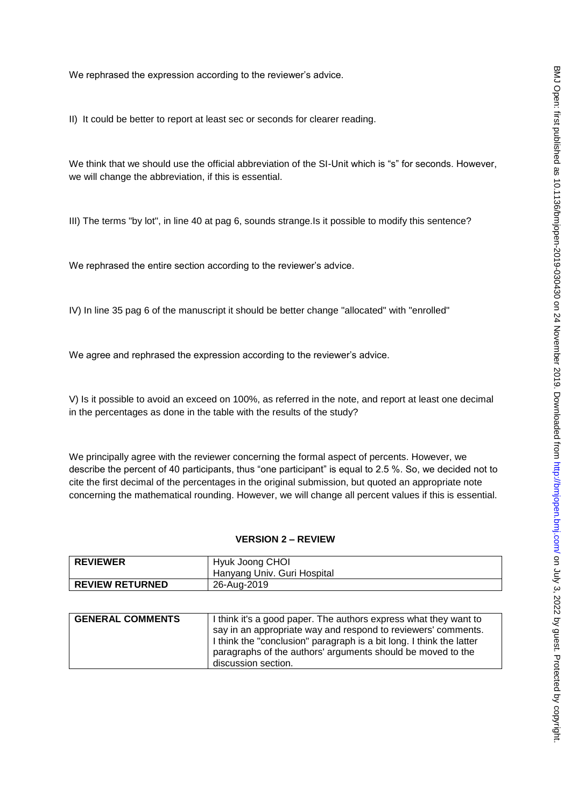We rephrased the expression according to the reviewer's advice.

II) It could be better to report at least sec or seconds for clearer reading.

We think that we should use the official abbreviation of the SI-Unit which is "s" for seconds. However, we will change the abbreviation, if this is essential.

III) The terms "by lot", in line 40 at pag 6, sounds strange.Is it possible to modify this sentence?

We rephrased the entire section according to the reviewer's advice.

IV) In line 35 pag 6 of the manuscript it should be better change "allocated" with "enrolled"

We agree and rephrased the expression according to the reviewer's advice.

V) Is it possible to avoid an exceed on 100%, as referred in the note, and report at least one decimal in the percentages as done in the table with the results of the study?

We principally agree with the reviewer concerning the formal aspect of percents. However, we describe the percent of 40 participants, thus "one participant" is equal to 2.5 %. So, we decided not to cite the first decimal of the percentages in the original submission, but quoted an appropriate note concerning the mathematical rounding. However, we will change all percent values if this is essential.

#### **VERSION 2 – REVIEW**

| <b>REVIEWER</b>        | Hyuk Joong CHOI<br>Hanyang Univ. Guri Hospital |
|------------------------|------------------------------------------------|
|                        |                                                |
| <b>REVIEW RETURNED</b> | 26-Aug-2019                                    |

| <b>GENERAL COMMENTS</b> | I think it's a good paper. The authors express what they want to     |
|-------------------------|----------------------------------------------------------------------|
|                         |                                                                      |
|                         | say in an appropriate way and respond to reviewers' comments.        |
|                         | I think the "conclusion" paragraph is a bit long. I think the latter |
|                         | paragraphs of the authors' arguments should be moved to the          |
|                         | discussion section.                                                  |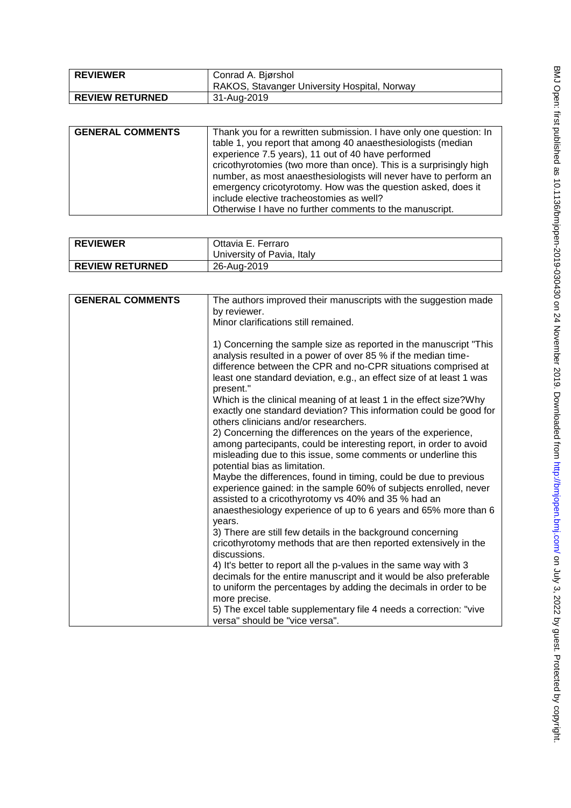| <b>REVIEWER</b>        | Conrad A. Bjørshol<br>RAKOS, Stavanger University Hospital, Norway |
|------------------------|--------------------------------------------------------------------|
| <b>REVIEW RETURNED</b> | 31-Aug-2019                                                        |

| <b>GENERAL COMMENTS</b> | Thank you for a rewritten submission. I have only one question: In<br>table 1, you report that among 40 anaesthesiologists (median<br>experience 7.5 years), 11 out of 40 have performed<br>cricothyrotomies (two more than once). This is a surprisingly high<br>number, as most anaesthesiologists will never have to perform an |
|-------------------------|------------------------------------------------------------------------------------------------------------------------------------------------------------------------------------------------------------------------------------------------------------------------------------------------------------------------------------|
|                         | emergency cricotyrotomy. How was the question asked, does it<br>include elective tracheostomies as well?                                                                                                                                                                                                                           |
|                         | Otherwise I have no further comments to the manuscript.                                                                                                                                                                                                                                                                            |

| <b>REVIEWER</b>        | Ottavia E. Ferraro         |
|------------------------|----------------------------|
|                        | University of Pavia, Italy |
| <b>REVIEW RETURNED</b> | 26-Aug-2019                |

| <b>GENERAL COMMENTS</b> | The authors improved their manuscripts with the suggestion made<br>by reviewer.                                                                                                                                                                                                          |
|-------------------------|------------------------------------------------------------------------------------------------------------------------------------------------------------------------------------------------------------------------------------------------------------------------------------------|
|                         |                                                                                                                                                                                                                                                                                          |
|                         | Minor clarifications still remained.                                                                                                                                                                                                                                                     |
|                         | 1) Concerning the sample size as reported in the manuscript "This<br>analysis resulted in a power of over 85 % if the median time-<br>difference between the CPR and no-CPR situations comprised at<br>least one standard deviation, e.g., an effect size of at least 1 was<br>present." |
|                         | Which is the clinical meaning of at least 1 in the effect size? Why<br>exactly one standard deviation? This information could be good for<br>others clinicians and/or researchers.                                                                                                       |
|                         | 2) Concerning the differences on the years of the experience,<br>among partecipants, could be interesting report, in order to avoid                                                                                                                                                      |
|                         | misleading due to this issue, some comments or underline this<br>potential bias as limitation.                                                                                                                                                                                           |
|                         | Maybe the differences, found in timing, could be due to previous                                                                                                                                                                                                                         |
|                         | experience gained: in the sample 60% of subjects enrolled, never                                                                                                                                                                                                                         |
|                         | assisted to a cricothyrotomy vs 40% and 35 % had an                                                                                                                                                                                                                                      |
|                         | anaesthesiology experience of up to 6 years and 65% more than 6                                                                                                                                                                                                                          |
|                         | years.                                                                                                                                                                                                                                                                                   |
|                         | 3) There are still few details in the background concerning                                                                                                                                                                                                                              |
|                         | cricothyrotomy methods that are then reported extensively in the<br>discussions.                                                                                                                                                                                                         |
|                         | 4) It's better to report all the p-values in the same way with 3                                                                                                                                                                                                                         |
|                         | decimals for the entire manuscript and it would be also preferable                                                                                                                                                                                                                       |
|                         | to uniform the percentages by adding the decimals in order to be                                                                                                                                                                                                                         |
|                         | more precise.                                                                                                                                                                                                                                                                            |
|                         | 5) The excel table supplementary file 4 needs a correction: "vive<br>versa" should be "vice versa".                                                                                                                                                                                      |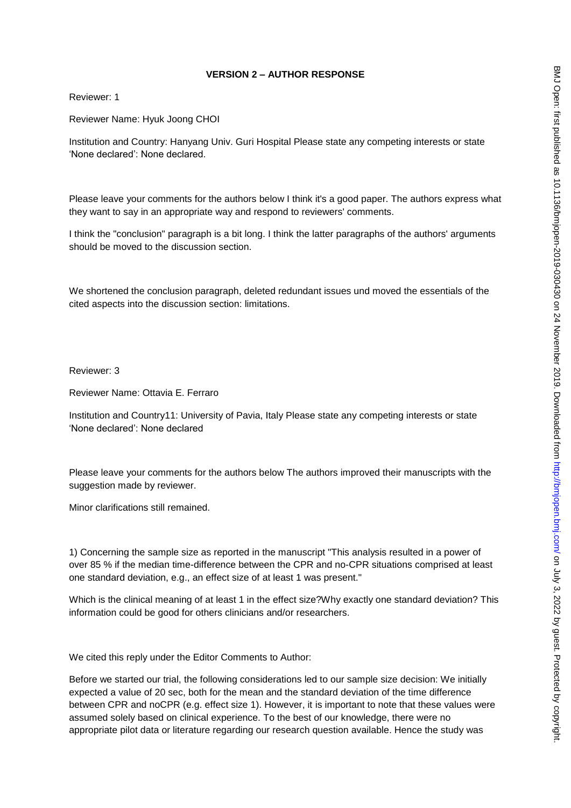# **VERSION 2 – AUTHOR RESPONSE**

Reviewer: 1

Reviewer Name: Hyuk Joong CHOI

Institution and Country: Hanyang Univ. Guri Hospital Please state any competing interests or state 'None declared': None declared.

Please leave your comments for the authors below I think it's a good paper. The authors express what they want to say in an appropriate way and respond to reviewers' comments.

I think the "conclusion" paragraph is a bit long. I think the latter paragraphs of the authors' arguments should be moved to the discussion section.

We shortened the conclusion paragraph, deleted redundant issues und moved the essentials of the cited aspects into the discussion section: limitations.

Reviewer: 3

Reviewer Name: Ottavia E. Ferraro

Institution and Country11: University of Pavia, Italy Please state any competing interests or state 'None declared': None declared

Please leave your comments for the authors below The authors improved their manuscripts with the suggestion made by reviewer.

Minor clarifications still remained.

1) Concerning the sample size as reported in the manuscript "This analysis resulted in a power of over 85 % if the median time-difference between the CPR and no-CPR situations comprised at least one standard deviation, e.g., an effect size of at least 1 was present."

Which is the clinical meaning of at least 1 in the effect size?Why exactly one standard deviation? This information could be good for others clinicians and/or researchers.

We cited this reply under the Editor Comments to Author:

Before we started our trial, the following considerations led to our sample size decision: We initially expected a value of 20 sec, both for the mean and the standard deviation of the time difference between CPR and noCPR (e.g. effect size 1). However, it is important to note that these values were assumed solely based on clinical experience. To the best of our knowledge, there were no appropriate pilot data or literature regarding our research question available. Hence the study was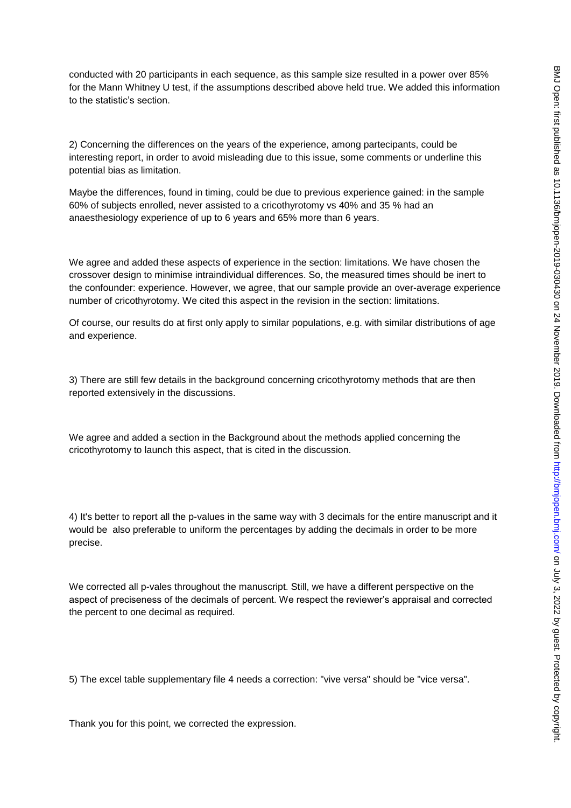conducted with 20 participants in each sequence, as this sample size resulted in a power over 85% for the Mann Whitney U test, if the assumptions described above held true. We added this information to the statistic's section.

2) Concerning the differences on the years of the experience, among partecipants, could be interesting report, in order to avoid misleading due to this issue, some comments or underline this potential bias as limitation.

Maybe the differences, found in timing, could be due to previous experience gained: in the sample 60% of subjects enrolled, never assisted to a cricothyrotomy vs 40% and 35 % had an anaesthesiology experience of up to 6 years and 65% more than 6 years.

We agree and added these aspects of experience in the section: limitations. We have chosen the crossover design to minimise intraindividual differences. So, the measured times should be inert to the confounder: experience. However, we agree, that our sample provide an over-average experience number of cricothyrotomy. We cited this aspect in the revision in the section: limitations.

Of course, our results do at first only apply to similar populations, e.g. with similar distributions of age and experience.

3) There are still few details in the background concerning cricothyrotomy methods that are then reported extensively in the discussions.

We agree and added a section in the Background about the methods applied concerning the cricothyrotomy to launch this aspect, that is cited in the discussion.

4) It's better to report all the p-values in the same way with 3 decimals for the entire manuscript and it would be also preferable to uniform the percentages by adding the decimals in order to be more precise.

We corrected all p-vales throughout the manuscript. Still, we have a different perspective on the aspect of preciseness of the decimals of percent. We respect the reviewer's appraisal and corrected the percent to one decimal as required.

5) The excel table supplementary file 4 needs a correction: "vive versa" should be "vice versa".

Thank you for this point, we corrected the expression.